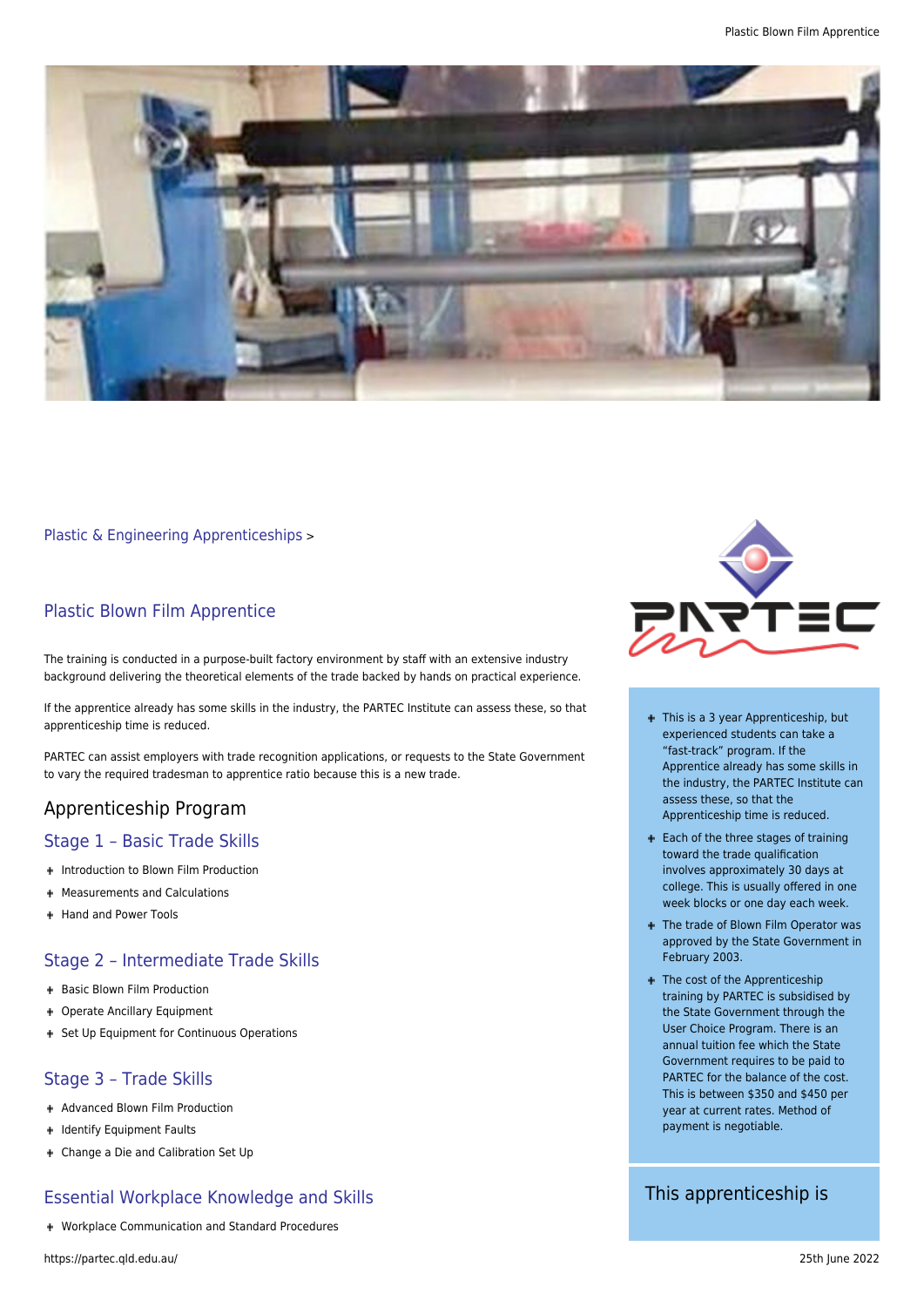

[Plastic & Engineering Apprenticeships](https://partec.qld.edu.au/plastic-engineering-apprenticeships/) >

## Plastic Blown Film Apprentice

The training is conducted in a purpose-built factory environment by staff with an extensive industry background delivering the theoretical elements of the trade backed by hands on practical experience.

If the apprentice already has some skills in the industry, the PARTEC Institute can assess these, so that apprenticeship time is reduced.

PARTEC can assist employers with trade recognition applications, or requests to the State Government to vary the required tradesman to apprentice ratio because this is a new trade.

# Apprenticeship Program

#### Stage 1 – Basic Trade Skills

- + Introduction to Blown Film Production
- Measurements and Calculations
- + Hand and Power Tools

### Stage 2 – Intermediate Trade Skills

- + Basic Blown Film Production
- Operate Ancillary Equipment
- + Set Up Equipment for Continuous Operations

### Stage 3 – Trade Skills

- + Advanced Blown Film Production
- + Identify Equipment Faults
- Change a Die and Calibration Set Up

### Essential Workplace Knowledge and Skills

Workplace Communication and Standard Procedures



- + This is a 3 year Apprenticeship, but experienced students can take a "fast-track" program. If the Apprentice already has some skills in the industry, the PARTEC Institute can assess these, so that the Apprenticeship time is reduced.
- + Each of the three stages of training toward the trade qualification involves approximately 30 days at college. This is usually offered in one week blocks or one day each week.
- + The trade of Blown Film Operator was approved by the State Government in February 2003.
- + The cost of the Apprenticeship training by PARTEC is subsidised by the State Government through the User Choice Program. There is an annual tuition fee which the State Government requires to be paid to PARTEC for the balance of the cost. This is between \$350 and \$450 per year at current rates. Method of payment is negotiable.

This apprenticeship is